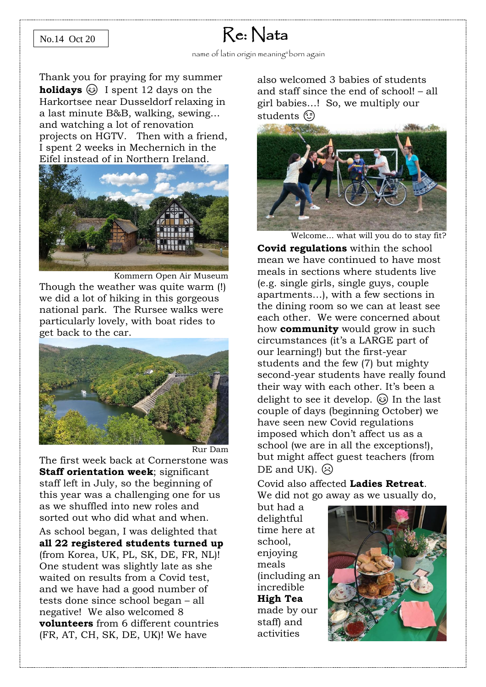## No.14 Oct 20

## Re: Nata

Thank you for praying for my summer **holidays**  $\circledcirc$  I spent 12 days on the Harkortsee near Dusseldorf relaxing in a last minute B&B, walking, sewing… and watching a lot of renovation projects on HGTV. Then with a friend, I spent 2 weeks in Mechernich in the Eifel instead of in Northern Ireland.



Kommern Open Air Museum Though the weather was quite warm (!) we did a lot of hiking in this gorgeous national park. The Rursee walks were particularly lovely, with boat rides to get back to the car.



The first week back at Cornerstone was **Staff orientation week**; significant staff left in July, so the beginning of this year was a challenging one for us as we shuffled into new roles and sorted out who did what and when. As school began, I was delighted that **all 22 registered students turned up** (from Korea, UK, PL, SK, DE, FR, NL)! One student was slightly late as she waited on results from a Covid test, and we have had a good number of tests done since school began – all negative! We also welcomed 8 **volunteers** from 6 different countries (FR, AT, CH, SK, DE, UK)! We have

also welcomed 3 babies of students and staff since the end of school! – all girl babies…! So, we multiply our students (c)



Welcome... what will you do to stay fit?

**Covid regulations** within the school mean we have continued to have most meals in sections where students live (e.g. single girls, single guys, couple apartments…), with a few sections in the dining room so we can at least see each other. We were concerned about how **community** would grow in such circumstances (it's a LARGE part of our learning!) but the first-year students and the few (7) but mighty second-year students have really found their way with each other. It's been a delight to see it develop.  $\odot$  In the last couple of days (beginning October) we have seen new Covid regulations imposed which don't affect us as a school (we are in all the exceptions!), but might affect guest teachers (from  $DE$  and  $UKL$ .  $\odot$ 

Covid also affected **Ladies Retreat**. We did not go away as we usually do,

but had a delightful time here at school, enjoying meals (including an incredible **High Tea** made by our staff) and activities